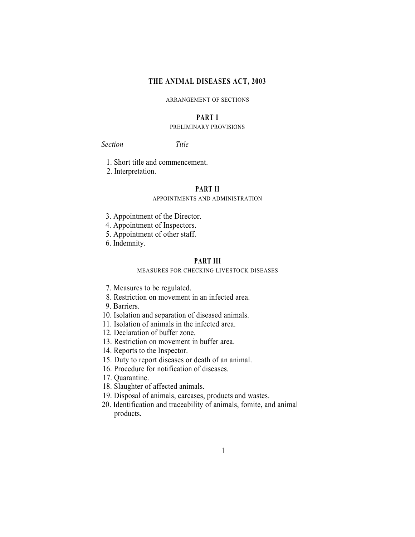## **THE ANIMAL DISEASES ACT, 2003**

#### ARRANGEMENT OF SECTIONS

## **PART I**

## PRELIMINARY PROVISIONS

#### *Section Title*

- 1. Short title and commencement.
- 2. Interpretation.

### **PART II**

### APPOINTMENTS AND ADMINISTRATION

- 3. Appointment of the Director.
- 4. Appointment of Inspectors.
- 5. Appointment of other staff.
- 6. Indemnity.

## **PART III**

#### MEASURES FOR CHECKING LIVESTOCK DISEASES

- 7. Measures to be regulated.
- 8. Restriction on movement in an infected area.
- 9. Barriers.
- 10. Isolation and separation of diseased animals.
- 11. Isolation of animals in the infected area.
- 12. Declaration of buffer zone.
- 13. Restriction on movement in buffer area.
- 14. Reports to the Inspector.
- 15. Duty to report diseases or death of an animal.
- 16. Procedure for notification of diseases.
- 17. Quarantine.
- 18. Slaughter of affected animals.
- 19. Disposal of animals, carcases, products and wastes.
- 20. Identification and traceability of animals, fomite, and animal products.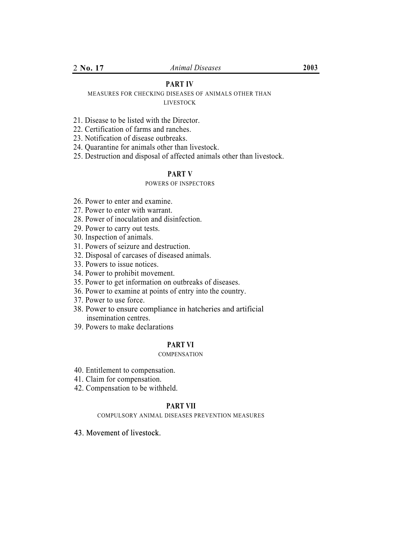## **PART IV**

## MEASURES FOR CHECKING DISEASES OF ANIMALS OTHER THAN LIVESTOCK

- 21. Disease to be listed with the Director.
- 22. Certification of farms and ranches.
- 23. Notification of disease outbreaks.
- 24. Quarantine for animals other than livestock.
- 25. Destruction and disposal of affected animals other than livestock.

## **PART V**

#### POWERS OF INSPECTORS

- 26. Power to enter and examine.
- 27. Power to enter with warrant.
- 28. Power of inoculation and disinfection.
- 29. Power to carry out tests.
- 30. Inspection of animals.
- 31. Powers of seizure and destruction.
- 32. Disposal of carcases of diseased animals.
- 33. Powers to issue notices.
- 34. Power to prohibit movement.
- 35. Power to get information on outbreaks of diseases.
- 36. Power to examine at points of entry into the country.
- 37. Power to use force.
- insemination centres. 38. Power to ensure compliance in hatcheries and artificial
- 39. Powers to make declarations

#### **PART VI**

#### **COMPENSATION**

- 40. Entitlement to compensation.
- 41. Claim for compensation.
- 42. Compensation to be withheld.

#### **PART VII**

COMPULSORY ANIMAL DISEASES PREVENTION MEASURES

43. Movement of livestock.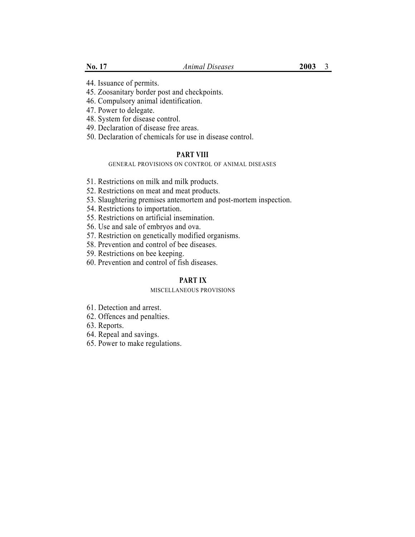- 44. Issuance of permits.
- 45. Zoosanitary border post and checkpoints.
- 46. Compulsory animal identification.
- 47. Power to delegate.
- 48. System for disease control.
- 49. Declaration of disease free areas.
- 50. Declaration of chemicals for use in disease control.

### **PART VIII**

## GENERAL PROVISIONS ON CONTROL OF ANIMAL DISEASES

- 51. Restrictions on milk and milk products.
- 52. Restrictions on meat and meat products.
- 53. Slaughtering premises antemortem and post-mortem inspection.
- 54. Restrictions to importation.
- 55. Restrictions on artificial insemination.
- 56. Use and sale of embryos and ova.
- 57. Restriction on genetically modified organisms.
- 58. Prevention and control of bee diseases.
- 59. Restrictions on bee keeping.
- 60. Prevention and control of fish diseases.

## **PART IX**

#### MISCELLANEOUS PROVISIONS

- 61. Detection and arrest.
- 62. Offences and penalties.
- 63. Reports.
- 64. Repeal and savings.
- 65. Power to make regulations.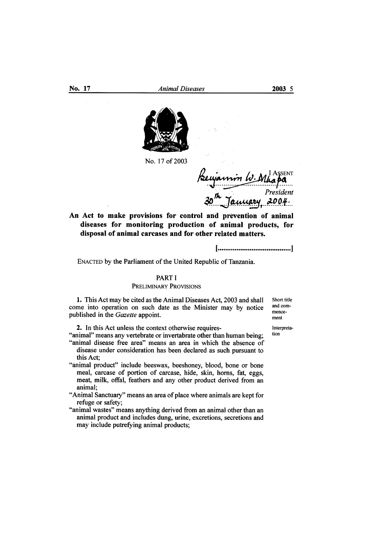

No. 17 of 2003

President  $2004.$ 

An Act to make provisions for control and prevention of animal diseases for monitoring production of animal products, for disposal of animal carcases and for other related matters.

ENACTED by the Parliament of the United Republic of Tanzania.

#### **PART I**

#### PRELIMINARY PROVISIONS

1. This Act may be cited as the Animal Diseases Act, 2003 and shall come into operation on such date as the Minister may by notice published in the *Gazette* appoint.

mencement

2. In this Act unless the context otherwise requires-

"animal" means any vertebrate or invertabrate other than human being; "animal disease free area" means an area in which the absence of disease under consideration has been declared as such pursuant to

this Act:

"animal product" include beeswax, beeshoney, blood, bone or bone meal, carcase of portion of carcase, hide, skin, horns, fat, eggs, meat, milk, offal, feathers and any other product derived from an animal:

- "Animal Sanctuary" means an area of place where animals are kept for refuge or safety;
- "animal wastes" means anything derived from an animal other than an animal product and includes dung, urine, excretions, secretions and may include putrefying animal products;

Interpretation

Short title

and com-

No. 17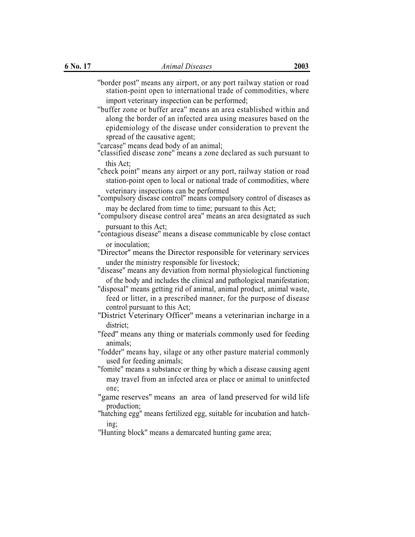- ''border post'' means any airport, or any port railway station or road station-point open to international trade of commodities, where import veterinary inspection can be performed;
- ''buffer zone or buffer area'' means an area established within and along the border of an infected area using measures based on the epidemiology of the disease under consideration to prevent the spread of the causative agent;
- "carcase" means dead body of an animal;
- "classified disease zone'' means a zone declared as such pursuant to this Act;
- "check point" means any airport or any port, railway station or road station-point open to local or national trade of commodities, where

veterinary inspections can be performed "compulsory disease control'' means compulsory control of diseases as may be declared from time to time; pursuant to this Act;

- "compulsory disease control area'' means an area designated as such
- pursuant to this Act; "contagious disease'' means a disease communicable by close contact or inoculation;
- ''Director'' means the Director responsible for veterinary services under the ministry responsible for livestock;
- ''disease'' means any deviation from normal physiological functioning of the body and includes the clinical and pathological manifestation;
- ''disposal'' means getting rid of animal, animal product, animal waste, feed or litter, in a prescribed manner, for the purpose of disease control pursuant to this Act;
- ''District Veterinary Officer'' means a veterinarian incharge in a district;
- ''feed'' means any thing or materials commonly used for feeding animals;
- ''fodder'' means hay, silage or any other pasture material commonly used for feeding animals;
- ''fomite'' means a substance or thing by which a disease causing agent may travel from an infected area or place or animal to uninfected one;
- "game reserves'' means an area of land preserved for wild life production;
- ''hatching egg'' means fertilized egg, suitable for incubation and hatching;

''Hunting block'' means a demarcated hunting game area;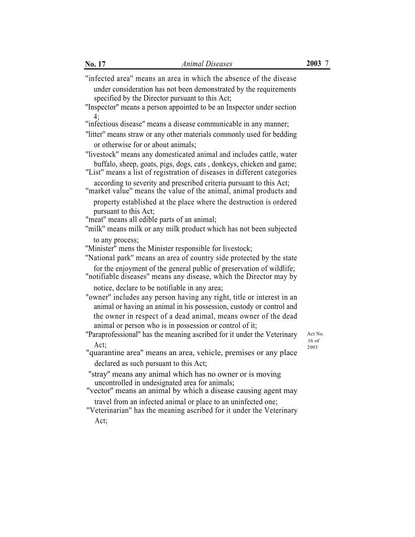''infected area'' means an area in which the absence of the disease

under consideration has not been demonstrated by the requirements specified by the Director pursuant to this Act;

''Inspector'' means a person appointed to be an Inspector under section 4;

''infectious disease'' means a disease communicable in any manner;

''litter'' means straw or any other materials commonly used for bedding or otherwise for or about animals;

''livestock'' means any domesticated animal and includes cattle, water buffalo, sheep, goats, pigs, dogs, cats , donkeys, chicken and game;

''List'' means a list of registration of diseases in different categories according to severity and prescribed criteria pursuant to this Act;

''market value'' means the value of the animal, animal products and property established at the place where the destruction is ordered

pursuant to this Act;

"meat'' means all edible parts of an animal;

''milk'' means milk or any milk product which has not been subjected

to any process;

''Minister'' mens the Minister responsible for livestock;

''National park'' means an area of country side protected by the state

for the enjoyment of the general public of preservation of wildlife; "notifiable diseases'' means any disease, which the Director may by

notice, declare to be notifiable in any area;

"owner'' includes any person having any right, title or interest in an animal or having an animal in his possession, custody or control and the owner in respect of a dead animal, means owner of the dead animal or person who is in possession or control of it;

"Paraprofessional" has the meaning ascribed for it under the Veterinary Act No. Act;  $16 \text{ of } 1003$ 

"quarantine area'' means an area, vehicle, premises or any place declared as such pursuant to this Act;

uncontrolled in undesignated area for animals; ''stray'' means any animal which has no owner or is moving

"vector'' means an animal by which a disease causing agent may travel from an infected animal or place to an uninfected one;

''Veterinarian'' has the meaning ascribed for it under the Veterinary Act;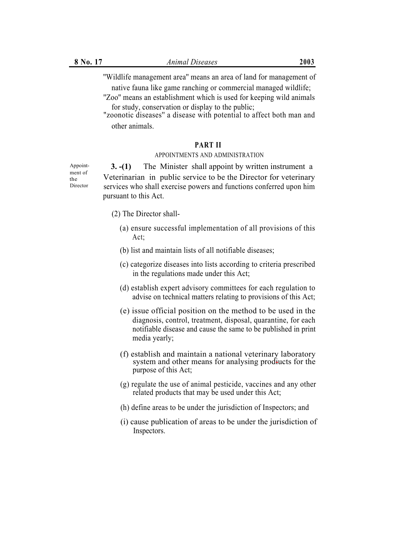''Wildlife management area'' means an area of land for management of native fauna like game ranching or commercial managed wildlife;

''Zoo'' means an establishment which is used for keeping wild animals for study, conservation or display to the public;

"zoonotic diseases'' a disease with potential to affect both man and other animals.

## **PART II**

#### APPOINTMENTS AND ADMINISTRATION

Veterinarian in public service to be the Director for veterinary services who shall exercise powers and functions conferred upon him pursuant to this Act. **3. -(1)** The Minister shall appoint by written instrument a

- (2) The Director shall-
	- (a) ensure successful implementation of all provisions of this Act;
	- (b) list and maintain lists of all notifiable diseases;
	- (c) categorize diseases into lists according to criteria prescribed in the regulations made under this Act;
	- (d) establish expert advisory committees for each regulation to advise on technical matters relating to provisions of this Act;
	- (e) issue official position on the method to be used in the diagnosis, control, treatment, disposal, quarantine, for each notifiable disease and cause the same to be published in print media yearly;
	- (f) establish and maintain a national veterinary laboratory system and other means for analysing products for the purpose of this Act;
	- (g) regulate the use of animal pesticide, vaccines and any other related products that may be used under this Act;
	- (h) define areas to be under the jurisdiction of Inspectors; and
	- (i) cause publication of areas to be under the jurisdiction of Inspectors.

Appointment of the Director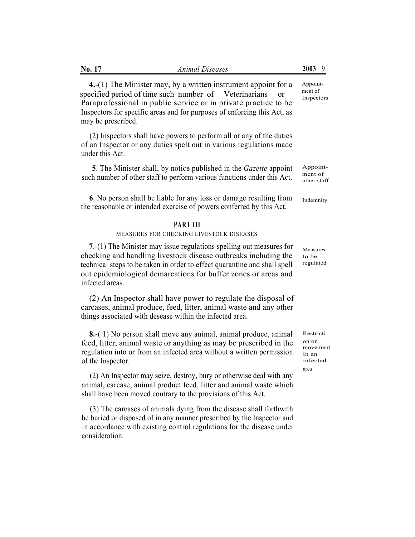| No. 17                                                                                                                                                                                                                                                                                                   | <b>Animal Diseases</b>                                                                                                                                                                                                                                                                | 20039                                                |  |
|----------------------------------------------------------------------------------------------------------------------------------------------------------------------------------------------------------------------------------------------------------------------------------------------------------|---------------------------------------------------------------------------------------------------------------------------------------------------------------------------------------------------------------------------------------------------------------------------------------|------------------------------------------------------|--|
| 4.-(1) The Minister may, by a written instrument appoint for a<br>specified period of time such number of Veterinarians<br>$\alpha$<br>Paraprofessional in public service or in private practice to be<br>Inspectors for specific areas and for purposes of enforcing this Act, as<br>may be prescribed. |                                                                                                                                                                                                                                                                                       | Appoint-<br>ment of<br>Inspectors                    |  |
| under this Act.                                                                                                                                                                                                                                                                                          | (2) Inspectors shall have powers to perform all or any of the duties<br>of an Inspector or any duties spelt out in various regulations made                                                                                                                                           |                                                      |  |
|                                                                                                                                                                                                                                                                                                          | 5. The Minister shall, by notice published in the Gazette appoint<br>such number of other staff to perform various functions under this Act.                                                                                                                                          | Appoint-<br>ment of<br>other staff                   |  |
|                                                                                                                                                                                                                                                                                                          | 6. No person shall be liable for any loss or damage resulting from<br>the reasonable or intended exercise of powers conferred by this Act.                                                                                                                                            | Indemnity                                            |  |
|                                                                                                                                                                                                                                                                                                          | <b>PART III</b><br>MEASURES FOR CHECKING LIVESTOCK DISEASES                                                                                                                                                                                                                           |                                                      |  |
| infected areas.                                                                                                                                                                                                                                                                                          | 7.-(1) The Minister may issue regulations spelling out measures for<br>checking and handling livestock disease outbreaks including the<br>technical steps to be taken in order to effect quarantine and shall spell<br>out epidemiological demarcations for buffer zones or areas and | Measures<br>to be<br>regulated                       |  |
|                                                                                                                                                                                                                                                                                                          | (2) An Inspector shall have power to regulate the disposal of<br>carcases, animal produce, feed, litter, animal waste and any other<br>things associated with desease within the infected area.                                                                                       |                                                      |  |
| <b>8.</b> (1) No person shall move any animal, animal produce, animal<br>feed, litter, animal waste or anything as may be prescribed in the<br>regulation into or from an infected area without a written permission<br>of the Inspector.                                                                |                                                                                                                                                                                                                                                                                       | Restricti-<br>on on<br>movement<br>in an<br>infected |  |
|                                                                                                                                                                                                                                                                                                          | (2) An Inspector may seize, destroy, bury or otherwise deal with any<br>animal, carcase, animal product feed, litter and animal waste which<br>shall have been moved contrary to the provisions of this Act.                                                                          | area                                                 |  |
| consideration.                                                                                                                                                                                                                                                                                           | (3) The carcases of animals dying from the disease shall forthwith<br>be buried or disposed of in any manner prescribed by the Inspector and<br>in accordance with existing control regulations for the disease under                                                                 |                                                      |  |
|                                                                                                                                                                                                                                                                                                          |                                                                                                                                                                                                                                                                                       |                                                      |  |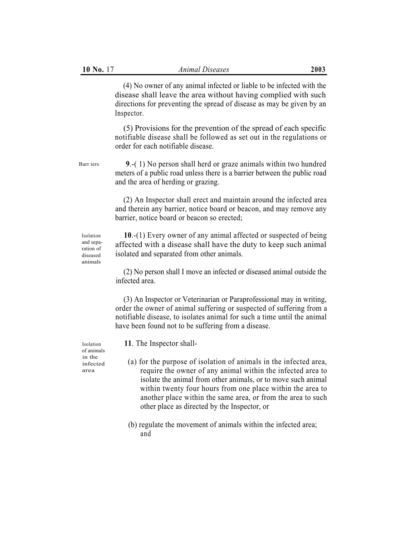(4) No owner of any animal infected or liable to be infected with the disease shall leave the area without having complied with such directions for preventing the spread of disease as may be given by an Inspector.

(5) Provisions for the prevention of the spread of each specific notifiable disease shall be followed as set out in the regulations or order for each notifiable disease.

**9**.-( 1) No person shall herd or graze animals within two hundred meters of a public road unless there is a barrier between the public road and the area of herding or grazing.

(2) An Inspector shall erect and maintain around the infected area and therein any barrier, notice board or beacon, and may remove any barrier, notice board or beacon so erected;

**10**.-(1) Every owner of any animal affected or suspected of being affected with a disease shall have the duty to keep such animal isolated and separated from other animals.

(2) No person shall I move an infected or diseased animal outside the infected area.

(3) An Inspector or Veterinarian or Paraprofessional may in writing, order the owner of animal suffering or suspected of suffering from a notifiable disease, to isolates animal for such a time until the animal have been found not to be suffering from a disease.

Isolation **11**. The Inspector shall-

- in the  $_{infected}$  (a) for the purpose of isolation of animals in the infected area, require the owner of any animal within the infected area to isolate the animal from other animals, or to move such animal within twenty four hours from one place within the area to another place within the same area, or from the area to such other place as directed by the Inspector, or
	- (b) regulate the movement of animals within the infected area; and

and separation of diseased animals

Isolation

Barr iers

of animals area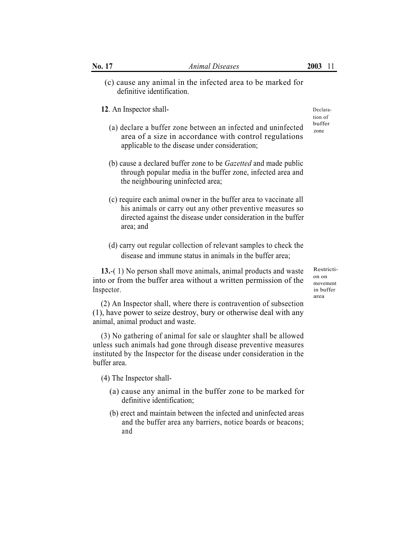- (c) cause any animal in the infected area to be marked for definitive identification.
- **12.** An Inspector shall-
	- (a) declare a buffer zone between an infected and uninfected area of a size in accordance with control regulations applicable to the disease under consideration;
	- (b) cause a declared buffer zone to be *Gazetted* and made public through popular media in the buffer zone, infected area and the neighbouring uninfected area;
	- (c) require each animal owner in the buffer area to vaccinate all his animals or carry out any other preventive measures so directed against the disease under consideration in the buffer area; and
	- (d) carry out regular collection of relevant samples to check the disease and immune status in animals in the buffer area;

13.-( 1) No person shall move animals, animal products and waste Restrictiinto or from the buffer area without a written permission of the Inspector.

(2) An Inspector shall, where there is contravention of subsection (1), have power to seize destroy, bury or otherwise deal with any animal, animal product and waste.

(3) No gathering of animal for sale or slaughter shall be allowed unless such animals had gone through disease preventive measures instituted by the Inspector for the disease under consideration in the buffer area.

(4) The Inspector shall-

- (a) cause any animal in the buffer zone to be marked for definitive identification;
- (b) erect and maintain between the infected and uninfected areas and the buffer area any barriers, notice boards or beacons; and

tion of zone

> on on movement in buffer area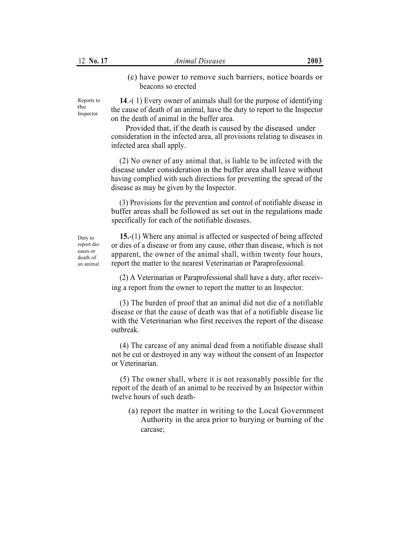(c) have power to remove such barriers, notice boards or beacons so erected

Reports to the Inspector

**14**.-( 1) Every owner of animals shall for the purpose of identifying the cause of death of an animal, have the duty to report to the Inspector on the death of animal in the buffer area.

consideration in the infected area, all provisions relating to diseases in infected area shall apply. Provided that, if the death is caused by the diseased under

(2) No owner of any animal that, is liable to be infected with the disease under consideration in the buffer area shall leave without having complied with such directions for preventing the spread of the disease as may be given by the Inspector.

(3) Provisions for the prevention and control of notifiable disease in buffer areas shall be followed as set out in the regulations made specifically for each of the notifiable diseases.

Duty to report diseases or death of an animal

**15.**-(1) Where any animal is affected or suspected of being affected or dies of a disease or from any cause, other than disease, which is not apparent, the owner of the animal shall, within twenty four hours, report the matter to the nearest Veterinarian or Paraprofessional.

(2) A Veterinarian or Paraprofessional shall have a duty, after receiving a report from the owner to report the matter to an Inspector.

(3) The burden of proof that an animal did not die of a notifiable disease or that the cause of death was that of a notifiable disease lie with the Veterinarian who first receives the report of the disease outbreak.

(4) The carcase of any animal dead from a notifiable disease shall not be cut or destroyed in any way without the consent of an Inspector or Veterinarian.

(5) The owner shall, where it is not reasonably possible for the report of the death of an animal to be received by an Inspector within twelve hours of such death-

(a) report the matter in writing to the Local Government Authority in the area prior to burying or burning of the carcase;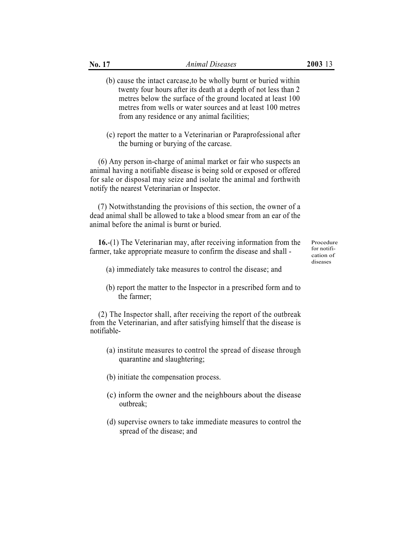| No. 17                                                                                                                                    | <b>Animal Diseases</b>                                                                                                                                                                                                                                                                                            | 2003 13                                           |  |
|-------------------------------------------------------------------------------------------------------------------------------------------|-------------------------------------------------------------------------------------------------------------------------------------------------------------------------------------------------------------------------------------------------------------------------------------------------------------------|---------------------------------------------------|--|
|                                                                                                                                           | (b) cause the intact carcase, to be wholly burnt or buried within<br>twenty four hours after its death at a depth of not less than 2<br>metres below the surface of the ground located at least 100<br>metres from wells or water sources and at least 100 metres<br>from any residence or any animal facilities; |                                                   |  |
|                                                                                                                                           | (c) report the matter to a Veterinarian or Paraprofessional after<br>the burning or burying of the carcase.                                                                                                                                                                                                       |                                                   |  |
|                                                                                                                                           | (6) Any person in-charge of animal market or fair who suspects an<br>animal having a notifiable disease is being sold or exposed or offered<br>for sale or disposal may seize and isolate the animal and forthwith<br>notify the nearest Veterinarian or Inspector.                                               |                                                   |  |
|                                                                                                                                           | (7) Notwithstanding the provisions of this section, the owner of a<br>dead animal shall be allowed to take a blood smear from an ear of the<br>animal before the animal is burnt or buried.                                                                                                                       |                                                   |  |
| 16.-(1) The Veterinarian may, after receiving information from the<br>farmer, take appropriate measure to confirm the disease and shall - |                                                                                                                                                                                                                                                                                                                   | Procedure<br>for notifi-<br>cation of<br>diseases |  |
|                                                                                                                                           | (a) immediately take measures to control the disease; and                                                                                                                                                                                                                                                         |                                                   |  |
|                                                                                                                                           | (b) report the matter to the Inspector in a prescribed form and to<br>the farmer;                                                                                                                                                                                                                                 |                                                   |  |
| notifiable-                                                                                                                               | (2) The Inspector shall, after receiving the report of the outbreak<br>from the Veterinarian, and after satisfying himself that the disease is                                                                                                                                                                    |                                                   |  |
|                                                                                                                                           | (a) institute measures to control the spread of disease through<br>quarantine and slaughtering;                                                                                                                                                                                                                   |                                                   |  |
|                                                                                                                                           | (b) initiate the compensation process.                                                                                                                                                                                                                                                                            |                                                   |  |
|                                                                                                                                           | (c) inform the owner and the neighbours about the disease<br>outbreak;                                                                                                                                                                                                                                            |                                                   |  |
|                                                                                                                                           | (d) supervise owners to take immediate measures to control the<br>spread of the disease; and                                                                                                                                                                                                                      |                                                   |  |
|                                                                                                                                           |                                                                                                                                                                                                                                                                                                                   |                                                   |  |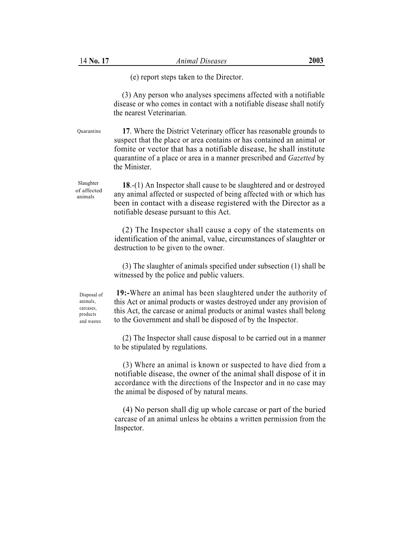(e) report steps taken to the Director.

(3) Any person who analyses specimens affected with a notifiable disease or who comes in contact with a notifiable disease shall notify the nearest Veterinarian.

**17**. Where the District Veterinary officer has reasonable grounds to suspect that the place or area contains or has contained an animal or fomite or vector that has a notifiable disease, he shall institute quarantine of a place or area in a manner prescribed and *Gazetted* by the Minister. Quarantine

> **18**.-(1) An Inspector shall cause to be slaughtered and or destroyed any animal affected or suspected of being affected with or which has been in contact with a disease registered with the Director as a notifiable desease pursuant to this Act.

> (2) The Inspector shall cause a copy of the statements on identification of the animal, value, circumstances of slaughter or destruction to be given to the owner.

> (3) The slaughter of animals specified under subsection (1) shall be witnessed by the police and public valuers.

Disposal of animals, carcases, products and wastes

of affected animals

Slaughter

**19:-**Where an animal has been slaughtered under the authority of this Act or animal products or wastes destroyed under any provision of this Act, the carcase or animal products or animal wastes shall belong to the Government and shall be disposed of by the Inspector.

(2) The Inspector shall cause disposal to be carried out in a manner to be stipulated by regulations.

(3) Where an animal is known or suspected to have died from a notifiable disease, the owner of the animal shall dispose of it in accordance with the directions of the Inspector and in no case may the animal be disposed of by natural means.

(4) No person shall dig up whole carcase or part of the buried carcase of an animal unless he obtains a written permission from the Inspector.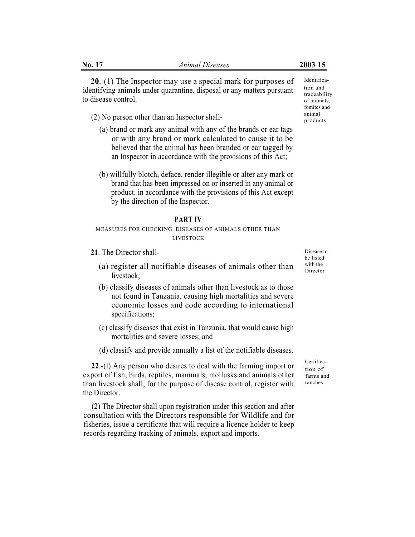Identification and traceability of animals, fomites and

**20**.-(1) The Inspector may use a special mark for purposes of identifying animals under quarantine, disposal or any matters pursuant to disease control.

 $(2)$  No person other than an Inspector shall- products

- (a) brand or mark any animal with any of the brands or ear tags or with any brand or mark calculated to cause it to be believed that the animal has been branded or ear tagged by an Inspector in accordance with the provisions of this Act;
- (b) willfully blotch, deface, render illegible or alter any mark or brand that has been impressed on or inserted in any animal or product. in accordance with the provisions of this Act except by the direction of the Inspector.

## **PART IV**

#### MEASURES FOR CHECKING, DISEASES OF ANIMALS OTHER THAN LIVESTOCK

- **21** The Director shall- Disease to be a property of the Disease to be a property of the Disease to be a property of the Disease to be a property of the Disease to be a property of the Disease to be a property of the Disea
	- (a) register all notifiable diseases of animals other than  $\frac{\text{with the}}{\text{Directory}}$ livestock;<br>livestock;
	- (b) classify diseases of animals other than livestock as to those not found in Tanzania, causing high mortalities and severe economic losses and code according to international specifications;
	- (c) classify diseases that exist in Tanzania, that would cause high mortalities and severe losses; and
	- (d) classify and provide annually a list of the notifiable diseases.

**22.-(l)** Any person who desires to deal with the farming import or  $\frac{\text{Centifica}}{\text{tion of } }$ export of fish, birds, reptiles, mammals, mollusks and animals other than livestock shall, for the purpose of disease control, register with the Director.

(2) The Director shall upon registration under this section and after consultation with the Directors responsible for Wildlife and for fisheries, issue a certificate that will require a licence holder to keep records regarding tracking of animals, export and imports.

be listed<br>with the

tion of farms and ranches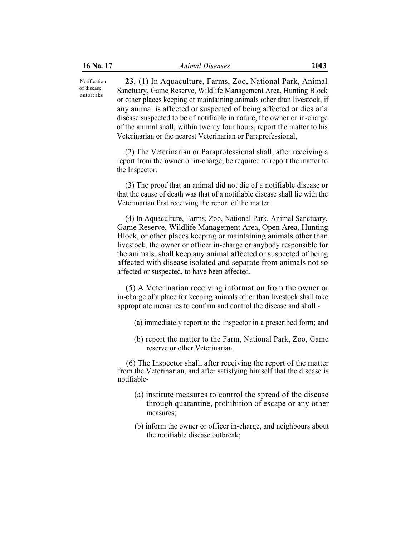of disease outbreaks Notification

**23**.-(1) In Aquaculture, Farms, Zoo, National Park, Animal Sanctuary, Game Reserve, Wildlife Management Area, Hunting Block or other places keeping or maintaining animals other than livestock, if any animal is affected or suspected of being affected or dies of a disease suspected to be of notifiable in nature, the owner or in-charge of the animal shall, within twenty four hours, report the matter to his Veterinarian or the nearest Veterinarian or Paraprofessional,

(2) The Veterinarian or Paraprofessional shall, after receiving a report from the owner or in-charge, be required to report the matter to the Inspector.

(3) The proof that an animal did not die of a notifiable disease or that the cause of death was that of a notifiable disease shall lie with the Veterinarian first receiving the report of the matter.

(4) In Aquaculture, Farms, Zoo, National Park, Animal Sanctuary, Game Reserve, Wildlife Management Area, Open Area, Hunting Block, or other places keeping or maintaining animals other than livestock, the owner or officer in-charge or anybody responsible for the animals, shall keep any animal affected or suspected of being affected with disease isolated and separate from animals not so affected or suspected, to have been affected.

(5) A Veterinarian receiving information from the owner or in-charge of a place for keeping animals other than livestock shall take appropriate measures to confirm and control the disease and shall -

- (a) immediately report to the Inspector in a prescribed form; and
- (b) report the matter to the Farm, National Park, Zoo, Game reserve or other Veterinarian.

(6) The Inspector shall, after receiving the report of the matter from the Veterinarian, and after satisfying himself that the disease is notifiable-

- (a) institute measures to control the spread of the disease through quarantine, prohibition of escape or any other measures;
- (b) inform the owner or officer in-charge, and neighbours about the notifiable disease outbreak;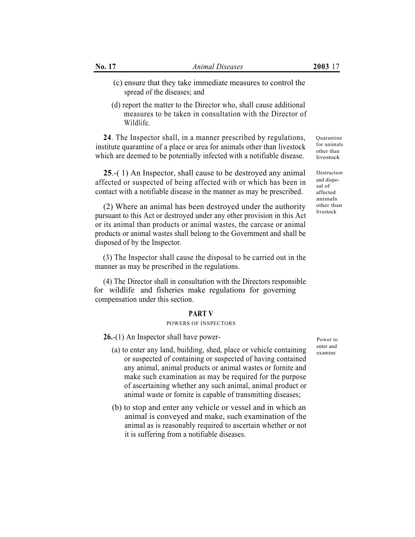- (c) ensure that they take immediate measures to control the spread of the diseases; and
- (d) report the matter to the Director who, shall cause additional measures to be taken in consultation with the Director of Wildlife.

**24**. The Inspector shall, in a manner prescribed by regulations, institute quarantine of a place or area for animals other than livestock which are deemed to be potentially infected with a notifiable disease.

**25**.-( 1) An Inspector, shall cause to be destroyed any animal affected or suspected of being affected with or which has been in contact with a notifiable disease in the manner as may be prescribed.

(2) Where an animal has been destroyed under the authority pursuant to this Act or destroyed under any other provision in this Act or its animal than products or animal wastes, the carcase or animal products or animal wastes shall belong to the Government and shall be disposed of by the Inspector.

(3) The Inspector shall cause the disposal to be carried out in the manner as may be prescribed in the regulations.

(4) The Director shall in consultation with the Directors responsible compensation under this section. for wildlife and fisheries make regulations for governing

## **PART V**

#### POWERS OF INSPECTORS

**26.**-(1) An Inspector shall have power-<br>Power to

- (a) to enter any land, building, shed, place or vehicle containing  $\theta_{\text{examine}}$ or suspected of containing or suspected of having contained any animal, animal products or animal wastes or fornite and make such examination as may be required for the purpose of ascertaining whether any such animal, animal product or animal waste or fornite is capable of transmitting diseases;
- (b) to stop and enter any vehicle or vessel and in which an animal is conveyed and make, such examination of the animal as is reasonably required to ascertain whether or not it is suffering from a notifiable diseases.

Quarantine for animals other than livestock

Destruction and disposal of affected animals other than livestock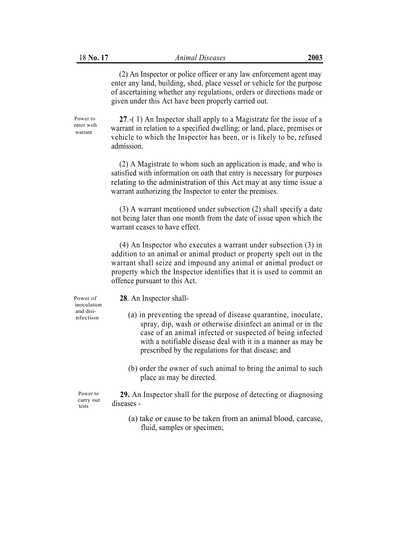(2) An Inspector or police officer or any law enforcement agent may enter any land, building, shed, place vessel or vehicle for the purpose of ascertaining whether any regulations, orders or directions made or given under this Act have been properly carried out.

Power to enter with warrant

**27**.-( 1) An Inspector shall apply to a Magistrate for the issue of a warrant in relation to a specified dwelling; or land, place, premises or vehicle to which the Inspector has been, or is likely to be, refused admission.

(2) A Magistrate to whom such an application is made, and who is satisfied with information on oath that entry is necessary for purposes relating to the administration of this Act may at any time issue a warrant authorizing the Inspector to enter the premises.

(3) A warrant mentioned under subsection (2) shall specify a date not being later than one month from the date of issue upon which the warrant ceases to have effect.

(4) An Inspector who executes a warrant under subsection (3) in addition to an animal or animal product or property spelt out in the warrant shall seize and impound any animal or animal product or property which the Inspector identifies that it is used to commit an offence pursuant to this Act.

inoculation

Power of **28**. An Inspector shall-

- $A<sub>nfection</sub>$  (a) in preventing the spread of disease quarantine, inoculate, spray, dip, wash or otherwise disinfect an animal or in the case of an animal infected or suspected of being infected with a notifiable disease deal with it in a manner as may be prescribed by the regulations for that disease; and
	- (b) order the owner of such animal to bring the animal to such place as may be directed.

Power to carry out tests

**29.** An Inspector shall for the purpose of detecting or diagnosing diseases -

(a) take or cause to be taken from an animal blood, carcase, fluid, samples or specimen;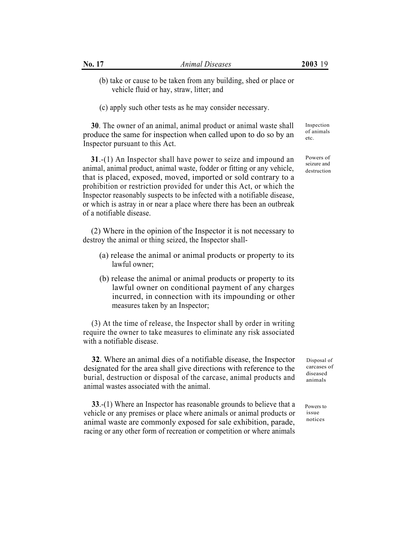(b) take or cause to be taken from any building, shed or place or vehicle fluid or hay, straw, litter; and

(c) apply such other tests as he may consider necessary.

**30**. The owner of an animal, animal product or animal waste shall produce the same for inspection when called upon to do so by an Inspector pursuant to this Act.

**31**.-(1) An Inspector shall have power to seize and impound an animal, animal product, animal waste, fodder or fitting or any vehicle, that is placed, exposed, moved, imported or sold contrary to a prohibition or restriction provided for under this Act, or which the Inspector reasonably suspects to be infected with a notifiable disease, or which is astray in or near a place where there has been an outbreak of a notifiable disease.

(2) Where in the opinion of the Inspector it is not necessary to destroy the animal or thing seized, the Inspector shall-

- (a) release the animal or animal products or property to its lawful owner;
- (b) release the animal or animal products or property to its lawful owner on conditional payment of any charges incurred, in connection with its impounding or other measures taken by an Inspector;

(3) At the time of release, the Inspector shall by order in writing require the owner to take measures to eliminate any risk associated with a notifiable disease.

**32**. Where an animal dies of a notifiable disease, the Inspector designated for the area shall give directions with reference to the burial, destruction or disposal of the carcase, animal products and animal wastes associated with the animal.

**33**.-(1) Where an Inspector has reasonable grounds to believe that a vehicle or any premises or place where animals or animal products or animal waste are commonly exposed for sale exhibition, parade, racing or any other form of recreation or competition or where animals

Inspection of animals etc.

Powers of destruction seizure and

Disposal of carcases of diseased animals

issue notices Powers to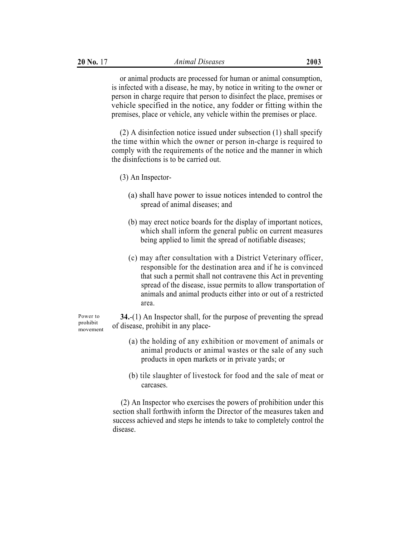or animal products are processed for human or animal consumption, is infected with a disease, he may, by notice in writing to the owner or person in charge require that person to disinfect the place, premises or vehicle specified in the notice, any fodder or fitting within the premises, place or vehicle, any vehicle within the premises or place.

(2) A disinfection notice issued under subsection (1) shall specify the time within which the owner or person in-charge is required to comply with the requirements of the notice and the manner in which the disinfections is to be carried out.

- (3) An Inspector-
	- (a) shall have power to issue notices intended to control the spread of animal diseases; and
	- (b) may erect notice boards for the display of important notices, which shall inform the general public on current measures being applied to limit the spread of notifiable diseases;
	- (c) may after consultation with a District Veterinary officer, responsible for the destination area and if he is convinced that such a permit shall not contravene this Act in preventing spread of the disease, issue permits to allow transportation of animals and animal products either into or out of a restricted area.

Power to prohibit movement

- **34.**-(1) An Inspector shall, for the purpose of preventing the spread of disease, prohibit in any place-
	- (a) the holding of any exhibition or movement of animals or animal products or animal wastes or the sale of any such products in open markets or in private yards; or
	- (b) tile slaughter of livestock for food and the sale of meat or carcases.

(2) An Inspector who exercises the powers of prohibition under this section shall forthwith inform the Director of the measures taken and success achieved and steps he intends to take to completely control the disease.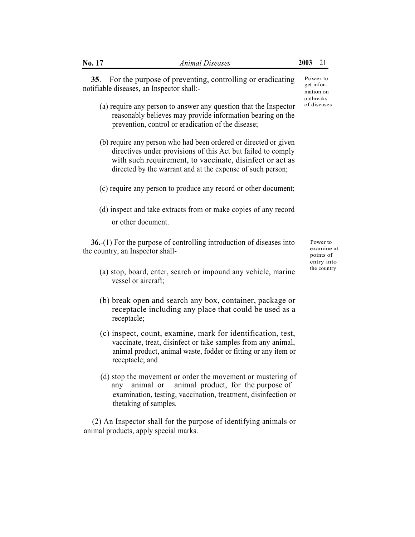**35**. For the purpose of preventing, controlling or eradicating notifiable diseases, an Inspector shall:-

- $(a)$  require any person to answer any question that the Inspector reasonably believes may provide information bearing on the prevention, control or eradication of the disease;
- (b) require any person who had been ordered or directed or given directives under provisions of this Act but failed to comply with such requirement, to vaccinate, disinfect or act as directed by the warrant and at the expense of such person;
- (c) require any person to produce any record or other document;
- (d) inspect and take extracts from or make copies of any record or other document.

**36.**-(1) For the purpose of controlling introduction of diseases into the country, an Inspector shall-

- (a) stop, board, enter, search or impound any vehicle, marine  $\frac{1}{2}$ <sup>the country</sup> vessel or aircraft;
- (b) break open and search any box, container, package or receptacle including any place that could be used as a receptacle;
- (c) inspect, count, examine, mark for identification, test, vaccinate, treat, disinfect or take samples from any animal, animal product, animal waste, fodder or fitting or any item or receptacle; and
- (d) stop the movement or order the movement or mustering of examination, testing, vaccination, treatment, disinfection or thetaking of samples. any animal or animal product, for the purpose of

(2) An Inspector shall for the purpose of identifying animals or animal products, apply special marks.

Power to examine at points of entry into

Power to get information on outbreaks<br>of diseases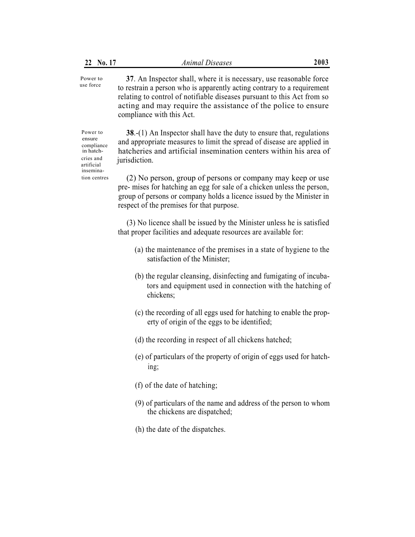Power to ensure compliance in hatchcries and artificial insemina-

tion centres

**37**. An Inspector shall, where it is necessary, use reasonable force to restrain a person who is apparently acting contrary to a requirement relating to control of notifiable diseases pursuant to this Act from so acting and may require the assistance of the police to ensure compliance with this Act. Power to use force

> **38**.-(1) An Inspector shall have the duty to ensure that, regulations and appropriate measures to limit the spread of disease are applied in hatcheries and artificial insemination centers within his area of jurisdiction.

(2) No person, group of persons or company may keep or use pre- mises for hatching an egg for sale of a chicken unless the person, group of persons or company holds a licence issued by the Minister in respect of the premises for that purpose.

(3) No licence shall be issued by the Minister unless he is satisfied that proper facilities and adequate resources are available for:

- (a) the maintenance of the premises in a state of hygiene to the satisfaction of the Minister;
- (b) the regular cleansing, disinfecting and fumigating of incubators and equipment used in connection with the hatching of chickens;
- (c) the recording of all eggs used for hatching to enable the property of origin of the eggs to be identified;
- (d) the recording in respect of all chickens hatched;
- (e) of particulars of the property of origin of eggs used for hatching;
- (f) of the date of hatching;
- (9) of particulars of the name and address of the person to whom the chickens are dispatched;
- (h) the date of the dispatches.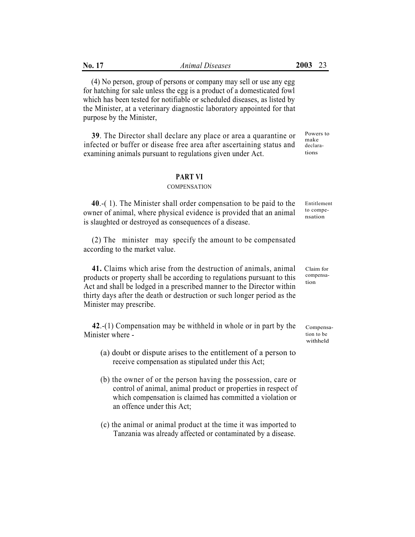(4) No person, group of persons or company may sell or use any egg for hatching for sale unless the egg is a product of a domesticated fowl which has been tested for notifiable or scheduled diseases, as listed by the Minister, at a veterinary diagnostic laboratory appointed for that purpose by the Minister,

**39**. The Director shall declare any place or area a quarantine or infected or buffer or disease free area after ascertaining status and examining animals pursuant to regulations given under Act.

## **PART VI**

#### **COMPENSATION**

**40**.-( 1). The Minister shall order compensation to be paid to the owner of animal, where physical evidence is provided that an animal is slaughted or destroyed as consequences of a disease.

(2) The minister may specify the amount to be compensated according to the market value.

**41.** Claims which arise from the destruction of animals, animal products or property shall be according to regulations pursuant to this Act and shall be lodged in a prescribed manner to the Director within thirty days after the death or destruction or such longer period as the Minister may prescribe.

**42**.-(1) Compensation may be withheld in whole or in part by the Minister where -

- (a) doubt or dispute arises to the entitlement of a person to receive compensation as stipulated under this Act;
- (b) the owner of or the person having the possession, care or control of animal, animal product or properties in respect of which compensation is claimed has committed a violation or an offence under this Act;
- (c) the animal or animal product at the time it was imported to Tanzania was already affected or contaminated by a disease.

Claim for compensa-

tion

Entitlement to compensation

Compensation to be withheld

Powers to make

declarations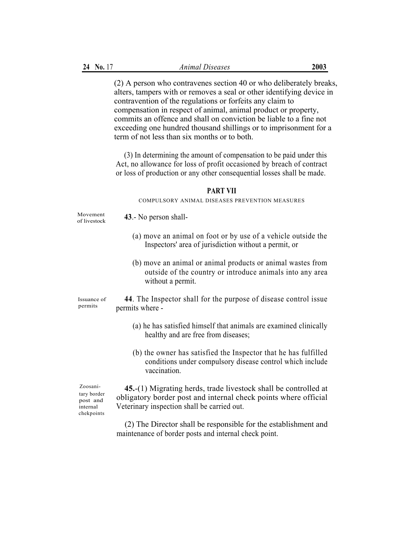(2) A person who contravenes section 40 or who deliberately breaks, alters, tampers with or removes a seal or other identifying device in contravention of the regulations or forfeits any claim to compensation in respect of animal, animal product or property, commits an offence and shall on conviction be liable to a fine not exceeding one hundred thousand shillings or to imprisonment for a term of not less than six months or to both.

(3) In determining the amount of compensation to be paid under this Act, no allowance for loss of profit occasioned by breach of contract or loss of production or any other consequential losses shall be made.

#### **PART VII**

COMPULSORY ANIMAL DISEASES PREVENTION MEASURES

Movement **43**.- No person shall-<br>of livestock

- (a) move an animal on foot or by use of a vehicle outside the Inspectors' area of jurisdiction without a permit, or
- (b) move an animal or animal products or animal wastes from outside of the country or introduce animals into any area without a permit.

Issuance of permits

- **44**. The Inspector shall for the purpose of disease control issue permits where -
	- (a) he has satisfied himself that animals are examined clinically healthy and are free from diseases;
	- (b) the owner has satisfied the Inspector that he has fulfilled conditions under compulsory disease control which include vaccination.

tary border post and internal chekpoints

Zoosani- **45.**-(1) Migrating herds, trade livestock shall be controlled at obligatory border post and internal check points where official Veterinary inspection shall be carried out.

> (2) The Director shall be responsible for the establishment and maintenance of border posts and internal check point.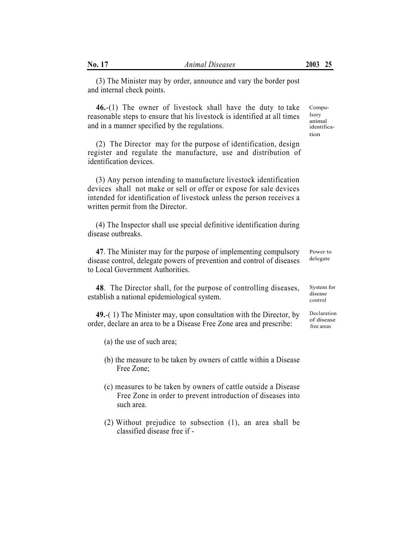(3) The Minister may by order, announce and vary the border post and internal check points.

**46.**-(1) The owner of livestock shall have the duty to take reasonable steps to ensure that his livestock is identified at all times and in a manner specified by the regulations.

(2) The Director may for the purpose of identification, design register and regulate the manufacture, use and distribution of identification devices.

(3) Any person intending to manufacture livestock identification devices shall not make or sell or offer or expose for sale devices intended for identification of livestock unless the person receives a written permit from the Director.

(4) The Inspector shall use special definitive identification during disease outbreaks.

**47**. The Minister may for the purpose of implementing compulsory disease control, delegate powers of prevention and control of diseases to Local Government Authorities.

**48**. The Director shall, for the purpose of controlling diseases, establish a national epidemiological system.

**49.**-( 1) The Minister may, upon consultation with the Director, by order, declare an area to be a Disease Free Zone area and prescribe:

(a) the use of such area;

- (b) the measure to be taken by owners of cattle within a Disease Free Zone;
- (c) measures to be taken by owners of cattle outside a Disease Free Zone in order to prevent introduction of diseases into such area.
- (2) Without prejudice to subsection (1), an area shall be classified disease free if -

Compu-Isory animal identification

Power to delegate

System for disease control

Declaration of disease free areas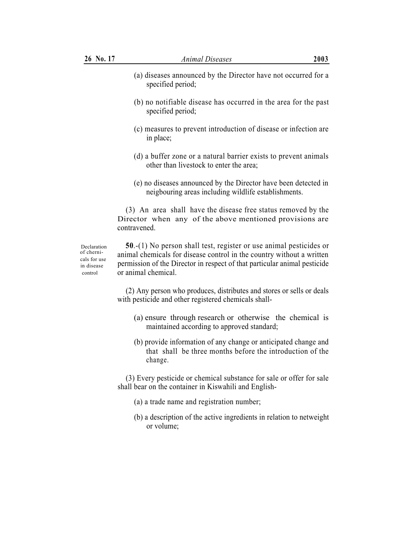- (a) diseases announced by the Director have not occurred for a specified period;
- (b) no notifiable disease has occurred in the area for the past specified period;
- (c) measures to prevent introduction of disease or infection are in place;
- (d) a buffer zone or a natural barrier exists to prevent animals other than livestock to enter the area;
- (e) no diseases announced by the Director have been detected in neigbouring areas including wildlife establishments.

(3) An area shall have the disease free status removed by the Director when any of the above mentioned provisions are contravened.

Declaration of chernicals for use in disease control

**50**.-(1) No person shall test, register or use animal pesticides or animal chemicals for disease control in the country without a written permission of the Director in respect of that particular animal pesticide or animal chemical.

(2) Any person who produces, distributes and stores or sells or deals with pesticide and other registered chemicals shall-

- (a) ensure through research or otherwise the chemical is maintained according to approved standard;
- (b) provide information of any change or anticipated change and that shall be three months before the introduction of the change.

(3) Every pesticide or chemical substance for sale or offer for sale shall bear on the container in Kiswahili and English-

- (a) a trade name and registration number;
- (b) a description of the active ingredients in relation to netweight or volume;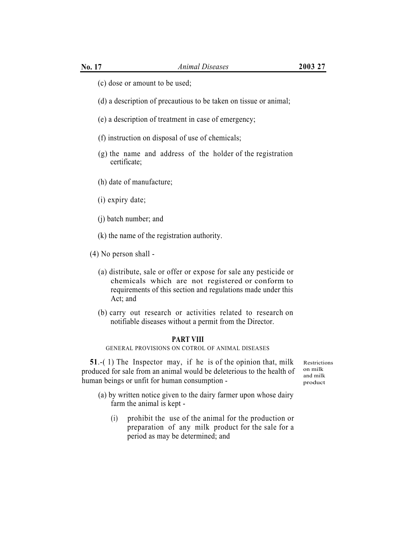- (c) dose or amount to be used;
- (d) a description of precautious to be taken on tissue or animal;
- (e) a description of treatment in case of emergency;
- (f) instruction on disposal of use of chemicals;
- (g) the name and address of the holder of the registration certificate;
- (h) date of manufacture;
- (i) expiry date;
- (j) batch number; and
- (k) the name of the registration authority.
- (4) No person shall
	- (a) distribute, sale or offer or expose for sale any pesticide or chemicals which are not registered or conform to requirements of this section and regulations made under this Act; and
	- (b) carry out research or activities related to research on notifiable diseases without a permit from the Director.

#### **PART VIII**

## GENERAL PROVISIONS ON COTROL OF ANIMAL DISEASES

**51**.-( 1) The Inspector may, if he is of the opinion that, milk produced for sale from an animal would be deleterious to the health of human beings or unfit for human consumption -

Restrictions on milk and milk product

- (a) by written notice given to the dairy farmer upon whose dairy farm the animal is kept -
	- (i) prohibit the use of the animal for the production or preparation of any milk product for the sale for a period as may be determined; and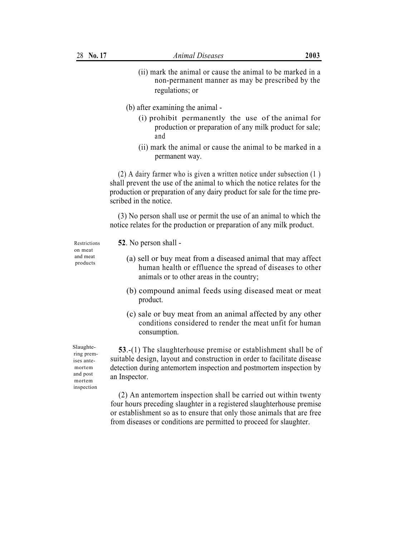- (ii) mark the animal or cause the animal to be marked in a non-permanent manner as may be prescribed by the regulations; or
- (b) after examining the animal
	- (i) prohibit permanently the use of the animal for production or preparation of any milk product for sale; and
	- (ii) mark the animal or cause the animal to be marked in a permanent way.

(2) A dairy farmer who is given a written notice under subsection (1 ) shall prevent the use of the animal to which the notice relates for the production or preparation of any dairy product for sale for the time prescribed in the notice.

(3) No person shall use or permit the use of an animal to which the notice relates for the production or preparation of any milk product.

on meat<br>and meat

Restrictions **52**. No person shall -

- $\alpha$ <sup>and meat</sup> (a) sell or buy meat from a diseased animal that may affect and meat human health or effluence the spread of diseases to other animals or to other areas in the country;
	- (b) compound animal feeds using diseased meat or meat product.
	- (c) sale or buy meat from an animal affected by any other conditions considered to render the meat unfit for human consumption.

 $\frac{\text{Slaughte}}{\text{displacement shall be of}}$  53.-(1) The slaughterhouse premise or establishment shall be of suitable design, layout and construction in order to facilitate disease detection during antemortem inspection and postmortem inspection by an Inspector.

> (2) An antemortem inspection shall be carried out within twenty four hours preceding slaughter in a registered slaughterhouse premise or establishment so as to ensure that only those animals that are free from diseases or conditions are permitted to proceed for slaughter.

ring premises antemortem and post mortem inspection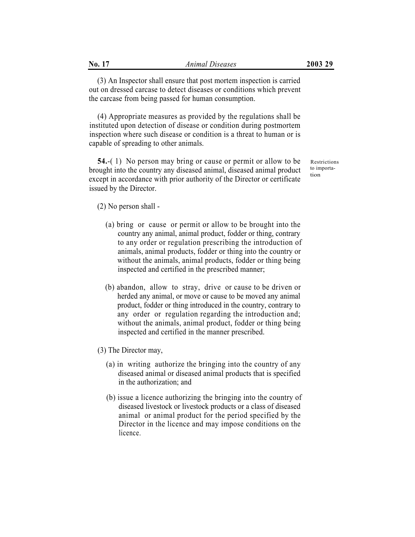(3) An Inspector shall ensure that post mortem inspection is carried out on dressed carcase to detect diseases or conditions which prevent the carcase from being passed for human consumption.

(4) Appropriate measures as provided by the regulations shall be instituted upon detection of disease or condition during postmortem inspection where such disease or condition is a threat to human or is capable of spreading to other animals.

**54.**-( 1) No person may bring or cause or permit or allow to be brought into the country any diseased animal, diseased animal product except in accordance with prior authority of the Director or certificate issued by the Director.

Restrictions to importation

(2) No person shall -

- (a) bring or cause or permit or allow to be brought into the country any animal, animal product, fodder or thing, contrary to any order or regulation prescribing the introduction of animals, animal products, fodder or thing into the country or without the animals, animal products, fodder or thing being inspected and certified in the prescribed manner;
- (b) abandon, allow to stray, drive or cause to be driven or herded any animal, or move or cause to be moved any animal product, fodder or thing introduced in the country, contrary to any order or regulation regarding the introduction and; without the animals, animal product, fodder or thing being inspected and certified in the manner prescribed.
- (3) The Director may,
	- (a) in writing authorize the bringing into the country of any diseased animal or diseased animal products that is specified in the authorization; and
	- (b) issue a licence authorizing the bringing into the country of diseased livestock or livestock products or a class of diseased animal or animal product for the period specified by the Director in the licence and may impose conditions on the licence.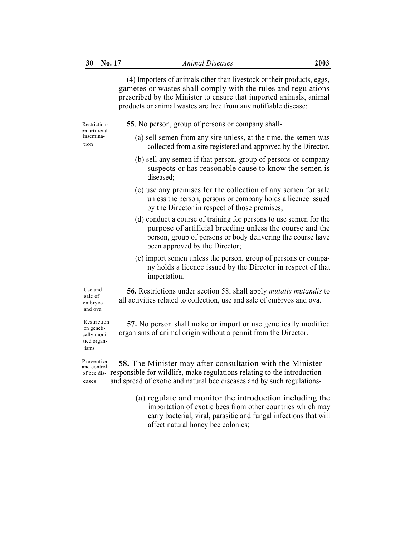(4) Importers of animals other than livestock or their products, eggs, gametes or wastes shall comply with the rules and regulations prescribed by the Minister to ensure that imported animals, animal products or animal wastes are free from any notifiable disease:

on artificial insemination

- Restrictions **55**. No person, group of persons or company shall-
	- (a) sell semen from any sire unless, at the time, the semen was collected from a sire registered and approved by the Director.
	- (b) sell any semen if that person, group of persons or company suspects or has reasonable cause to know the semen is diseased;
	- (c) use any premises for the collection of any semen for sale unless the person, persons or company holds a licence issued by the Director in respect of those premises;
	- (d) conduct a course of training for persons to use semen for the purpose of artificial breeding unless the course and the person, group of persons or body delivering the course have been approved by the Director;
	- (e) import semen unless the person, group of persons or company holds a licence issued by the Director in respect of that importation.

**56.** Restrictions under section 58, shall apply *mutatis mutandis* to all activities related to collection, use and sale of embryos and ova.

Restriction on genetically moditied organisms

Use and sale of embryos and ova

> **57.** No person shall make or import or use genetically modified organisms of animal origin without a permit from the Director.

**58.** The Minister may after consultation with the Minister of bee dis- responsible for wildlife, make regulations relating to the introduction and spread of exotic and natural bee diseases and by such regulations-Prevention and control eases

> (a) regulate and monitor the introduction including the importation of exotic bees from other countries which may carry bacterial, viral, parasitic and fungal infections that will affect natural honey bee colonies;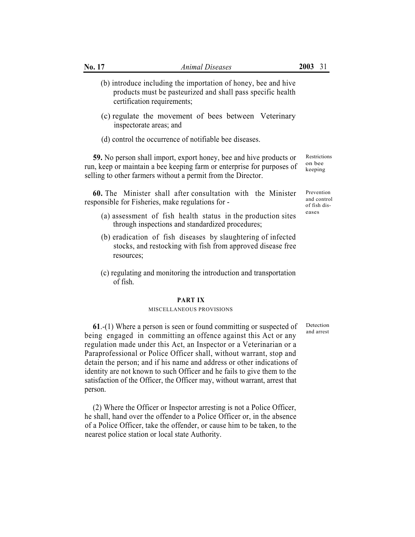- (b) introduce including the importation of honey, bee and hive products must be pasteurized and shall pass specific health certification requirements;
- (c) regulate the movement of bees between Veterinary inspectorate areas; and
- (d) control the occurrence of notifiable bee diseases.

**59.** No person shall import, export honey, bee and hive products or run, keep or maintain a bee keeping farm or enterprise for purposes of selling to other farmers without a permit from the Director.

**60.** The Minister shall after consultation with the Minister responsible for Fisheries, make regulations for -

- (a) assessment of fish health status in the production sites  $e^{cases}$ through inspections and standardized procedures;
- (b) eradication of fish diseases by slaughtering of infected stocks, and restocking with fish from approved disease free resources;
- (c) regulating and monitoring the introduction and transportation of fish.

### **PART IX**

#### MISCELLANEOUS PROVISIONS

**61**.-(1) Where a person is seen or found committing or suspected of being engaged in committing an offence against this Act or any regulation made under this Act, an Inspector or a Veterinarian or a Paraprofessional or Police Officer shall, without warrant, stop and detain the person; and if his name and address or other indications of identity are not known to such Officer and he fails to give them to the satisfaction of the Officer, the Officer may, without warrant, arrest that person.

(2) Where the Officer or Inspector arresting is not a Police Officer, he shall, hand over the offender to a Police Officer or, in the absence of a Police Officer, take the offender, or cause him to be taken, to the nearest police station or local state Authority.

of fish dis-

Restrictions on bee keeping

Prevention and control

Detection and arrest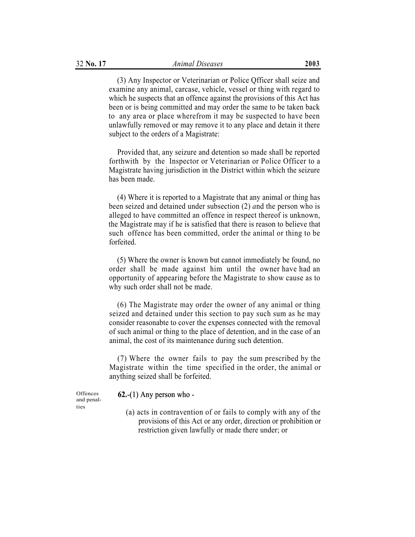(3) Any Inspector or Veterinarian or Police Qfficer shall seize and examine any animal, carcase, vehicle, vessel or thing with regard to which he suspects that an offence against the provisions of this Act has been or is being committed and may order the same to be taken back to any area or place wherefrom it may be suspected to have been unlawfully removed or may remove it to any place and detain it there subject to the orders of a Magistrate:

Provided that, any seizure and detention so made shall be reported forthwith by the Inspector or Veterinarian or Police Officer to a Magistrate having jurisdiction in the District within which the seizure has been made.

(4) Where it is reported to a Magistrate that any animal or thing has been seized and detained under subsection (2) *a*nd the person who is alleged to have committed an offence in respect thereof is unknown, the Magistrate may if he is satisfied that there is reason to believe that such offence has been committed, order the animal or thing to be forfeited.

(5) Where the owner is known but cannot immediately be found, no order shall be made against him until the owner have had an opportunity of appearing before the Magistrate to show cause as to why such order shall not be made.

(6) The Magistrate may order the owner of any animal or thing seized and detained under this section to pay such sum as he may consider reasonabte to cover the expenses connected with the removal of such animal or thing to the place of detention, and in the case of an animal, the cost of its maintenance during such detention.

(7) Where the owner fails to pay the sum prescribed by the Magistrate within the time specified in the order, the animal or anything seized shall be forfeited.

ties

# Offences **62.-**(1) Any person who - and penal-

(a) acts in contravention of or fails to comply with any of the provisions of this Act or any order, direction or prohibition or restriction given lawfully or made there under; or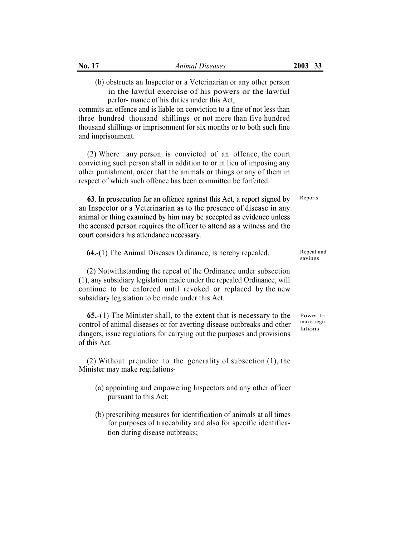commits an offence and is liable on conviction to a fine of not less than three hundred thousand shillings or not more than five hundred thousand shillings or imprisonment for six months or to both such fine and imprisonment.

(2) Where any person is convicted of an offence, the court convicting such person shall in addition to or in lieu of imposing any other punishment, order that the animals or things or any of them in respect of which such offence has been committed be forfeited.

**63**. In prosecution for an offence against this Act, a report signed by 63. In prosecution for an offence against this Act, a report signed by an Inspector or a Veterinarian as to the presence of disease in any animal or thing examined by him may be accepted as evidence unless the accused person requires the officer to attend as a witness and the court considers his attendance necessary. Reports

| <b>64.</b> (1) The Animal Diseases Ordinance, is hereby repealed. | Repeal and |
|-------------------------------------------------------------------|------------|
|                                                                   | savings    |

(2) Notwithstanding the repeal of the Ordinance under subsection (1), any subsidiary legislation made under the repealed Ordinance, will continue to be enforced until revoked or replaced by the new subsidiary legislation to be made under this Act.

**65.**-(1) The Minister shall, to the extent that is necessary to the control of animal diseases or for averting disease outbreaks and other dangers, issue regulations for carrying out the purposes and provisions of this Act.

(2) Without prejudice to the generality of subsection (1), the Minister may make regulations-

- (a) appointing and empowering Inspectors and any other officer pursuant to this Act;
- (b) prescribing measures for identification of animals at all times for purposes of traceability and also for specific identification during disease outbreaks;

Power to make regulations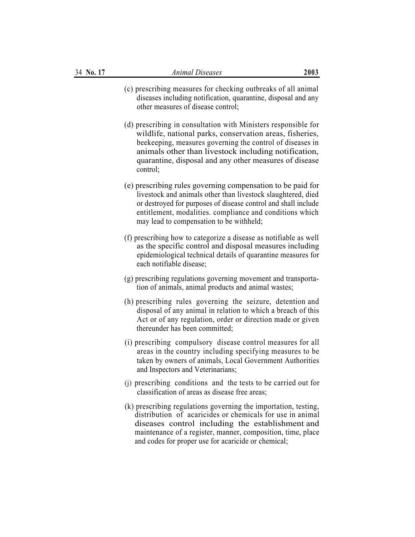- (c) prescribing measures for checking outbreaks of all animal diseases including notification, quarantine, disposal and any other measures of disease control;
- (d) prescribing in consultation with Ministers responsible for wildlife, national parks, conservation areas, fisheries, beekeeping, measures governing the control of diseases in animals other than livestock including notification, quarantine, disposal and any other measures of disease control;
- (e) prescribing rules governing compensation to be paid for livestock and animals other than livestock slaughtered, died or destroyed for purposes of disease control and shall include entitlement, modalities. compliance and conditions which may lead to compensation to be withheld;
- (f) prescribing how to categorize a disease as notifiable as well as the specific control and disposal measures including epidemiological technical details of quarantine measures for each notifiable disease;
- (g) prescribing regulations governing movement and transportation of animals, animal products and animal wastes;
- (h) prescribing rules governing the seizure, detention and disposal of any animal in relation to which a breach of this Act or of any regulation, order or direction made or given thereunder has been committed;
- (i) prescribing compulsory disease control measures for all areas in the country including specifying measures to be taken by owners of animals, Local Government Authorities and Inspectors and Veterinarians;
- (j) prescribing conditions and the tests to be carried out for classification of areas as disease free areas;
- (k) prescribing regulations governing the importation, testing, distribution of acaricides or chemicals for use in animal diseases control including the establishment and maintenance of a register, manner, composition, time, place and codes for proper use for acaricide or chemical;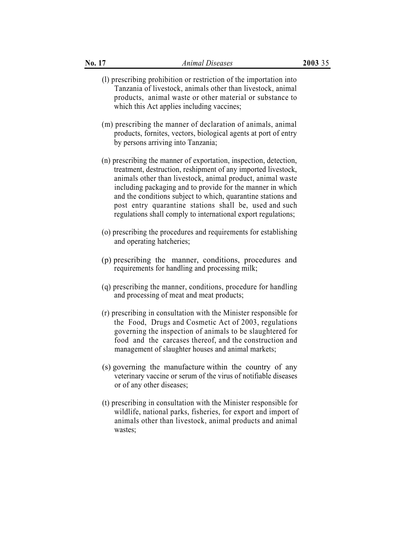- (l) prescribing prohibition or restriction of the importation into Tanzania of livestock, animals other than livestock, animal products, animal waste or other material or substance to which this Act applies including vaccines;
- (m) prescribing the manner of declaration of animals, animal products, fornites, vectors, biological agents at port of entry by persons arriving into Tanzania;
- (n) prescribing the manner of exportation, inspection, detection, treatment, destruction, reshipment of any imported livestock, animals other than livestock, animal product, animal waste including packaging and to provide for the manner in which and the conditions subject to which, quarantine stations and post entry quarantine stations shall be, used and such regulations shall comply to international export regulations;
- (o) prescribing the procedures and requirements for establishing and operating hatcheries;
- (p) prescribing the manner, conditions, procedures and requirements for handling and processing milk;
- (q) prescribing the manner, conditions, procedure for handling and processing of meat and meat products;
- (r) prescribing in consultation with the Minister responsible for the Food, Drugs and Cosmetic Act of 2003, regulations governing the inspection of animals to be slaughtered for food and the carcases thereof, and the construction and management of slaughter houses and animal markets;
- (s) governing the manufacture within the country of any veterinary vaccine or serum of the virus of notifiable diseases or of any other diseases;
- (t) prescribing in consultation with the Minister responsible for wildlife, national parks, fisheries, for export and import of animals other than livestock, animal products and animal wastes;